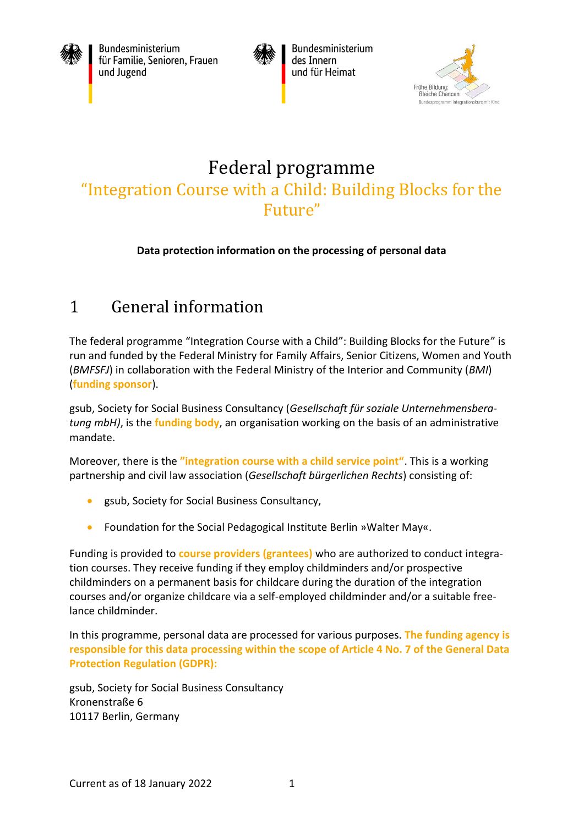

Bundesministerium für Familie, Senioren, Frauen und Jugend



Bundesministerium des Innern und für Heimat



# Federal programme "Integration Course with a Child: Building Blocks for the Future"

#### **Data protection information on the processing of personal data**

# 1 General information

The federal programme "Integration Course with a Child": Building Blocks for the Future" is run and funded by the Federal Ministry for Family Affairs, Senior Citizens, Women and Youth (*BMFSFJ*) in collaboration with the Federal Ministry of the Interior and Community (*BMI*) (**funding sponsor**).

gsub, Society for Social Business Consultancy (*Gesellschaft für soziale Unternehmensberatung mbH)*, is the **funding body**, an organisation working on the basis of an administrative mandate.

Moreover, there is the **"integration course with a child service point"**. This is a working partnership and civil law association (*Gesellschaft bürgerlichen Rechts*) consisting of:

- gsub, Society for Social Business Consultancy,
- Foundation for the Social Pedagogical Institute Berlin »Walter May«.

Funding is provided to **course providers (grantees)** who are authorized to conduct integration courses. They receive funding if they employ childminders and/or prospective childminders on a permanent basis for childcare during the duration of the integration courses and/or organize childcare via a self-employed childminder and/or a suitable freelance childminder.

In this programme, personal data are processed for various purposes. **The funding agency is responsible for this data processing within the scope of Article 4 No. 7 of the General Data Protection Regulation (GDPR):**

gsub, Society for Social Business Consultancy Kronenstraße 6 10117 Berlin, Germany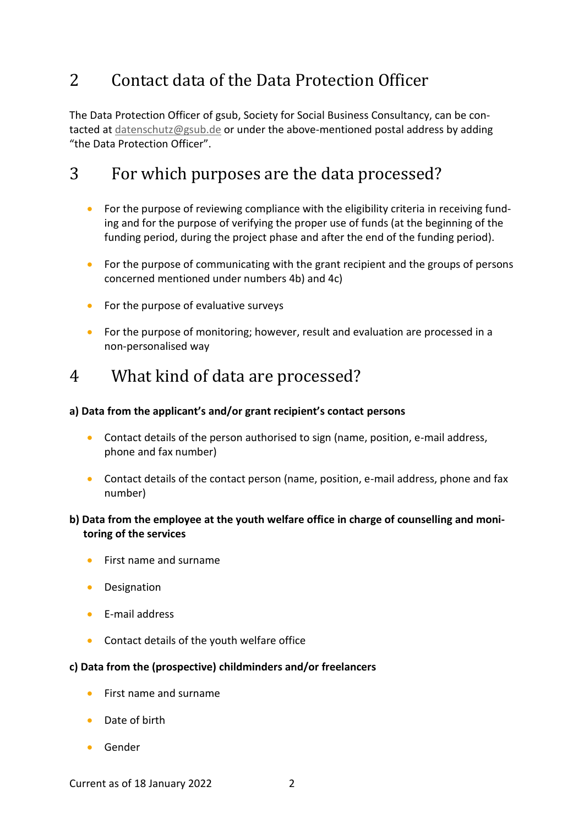### 2 Contact data of the Data Protection Officer

The Data Protection Officer of gsub, Society for Social Business Consultancy, can be contacted at [datenschutz@gsub.de](mailto:datenschutz@gsub.de) or under the above-mentioned postal address by adding "the Data Protection Officer".

### 3 For which purposes are the data processed?

- For the purpose of reviewing compliance with the eligibility criteria in receiving funding and for the purpose of verifying the proper use of funds (at the beginning of the funding period, during the project phase and after the end of the funding period).
- For the purpose of communicating with the grant recipient and the groups of persons concerned mentioned under numbers 4b) and 4c)
- For the purpose of evaluative surveys
- For the purpose of monitoring; however, result and evaluation are processed in a non-personalised way

### 4 What kind of data are processed?

#### **a) Data from the applicant's and/or grant recipient's contact persons**

- Contact details of the person authorised to sign (name, position, e-mail address, phone and fax number)
- Contact details of the contact person (name, position, e-mail address, phone and fax number)

#### **b) Data from the employee at the youth welfare office in charge of counselling and monitoring of the services**

- First name and surname
- Designation
- E-mail address
- Contact details of the youth welfare office

#### **c) Data from the (prospective) childminders and/or freelancers**

- First name and surname
- Date of birth
- Gender

Current as of 18 January 2022 2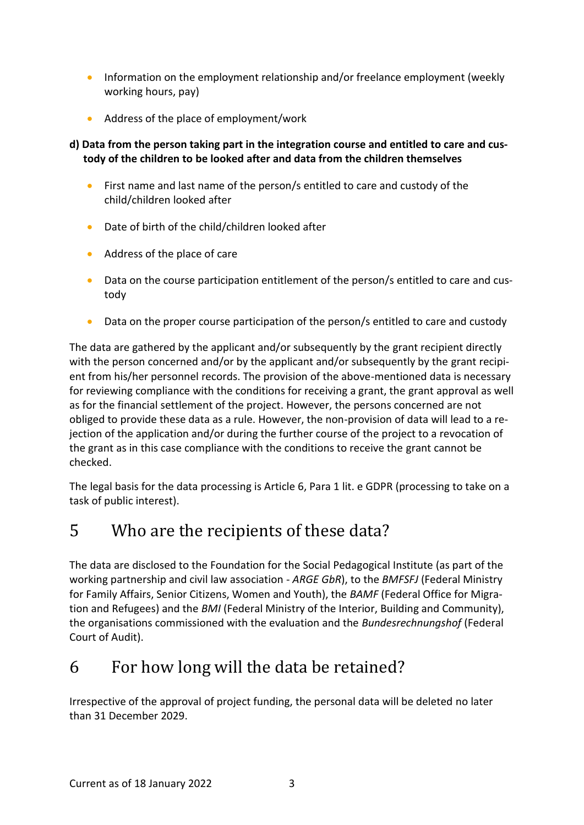- Information on the employment relationship and/or freelance employment (weekly working hours, pay)
- Address of the place of employment/work

#### **d) Data from the person taking part in the integration course and entitled to care and custody of the children to be looked after and data from the children themselves**

- First name and last name of the person/s entitled to care and custody of the child/children looked after
- Date of birth of the child/children looked after
- Address of the place of care
- Data on the course participation entitlement of the person/s entitled to care and custody
- Data on the proper course participation of the person/s entitled to care and custody

The data are gathered by the applicant and/or subsequently by the grant recipient directly with the person concerned and/or by the applicant and/or subsequently by the grant recipient from his/her personnel records. The provision of the above-mentioned data is necessary for reviewing compliance with the conditions for receiving a grant, the grant approval as well as for the financial settlement of the project. However, the persons concerned are not obliged to provide these data as a rule. However, the non-provision of data will lead to a rejection of the application and/or during the further course of the project to a revocation of the grant as in this case compliance with the conditions to receive the grant cannot be checked.

The legal basis for the data processing is Article 6, Para 1 lit. e GDPR (processing to take on a task of public interest).

### 5 Who are the recipients of these data?

The data are disclosed to the Foundation for the Social Pedagogical Institute (as part of the working partnership and civil law association - *ARGE GbR*), to the *BMFSFJ* (Federal Ministry for Family Affairs, Senior Citizens, Women and Youth), the *BAMF* (Federal Office for Migration and Refugees) and the *BMI* (Federal Ministry of the Interior, Building and Community), the organisations commissioned with the evaluation and the *Bundesrechnungshof* (Federal Court of Audit).

# 6 For how long will the data be retained?

Irrespective of the approval of project funding, the personal data will be deleted no later than 31 December 2029.